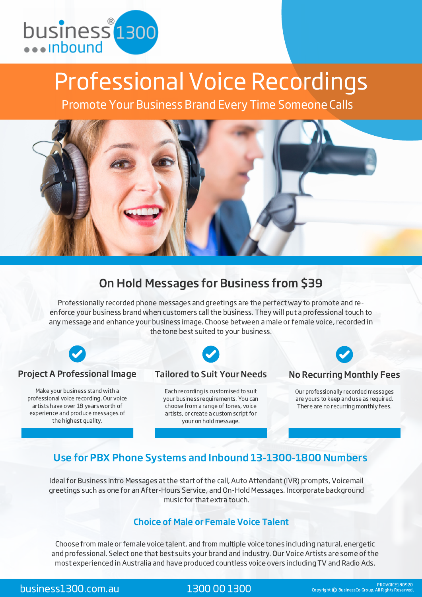

# Professional Voice Recordings

Promote Your Business Brand Every Time Someone Calls



# On Hold Messages for Business from \$39

Professionally recorded phone messages and greetings are the perfect way to promote and reenforce your business brand when customers call the business. They will put a professional touch to any message and enhance your business image. Choose between a male or female voice, recorded in the tone best suited to your business.



## Project A Professional Image

Make your business stand with a professional voice recording. Our voice artists have over 18 years worth of experience and produce messages of the highest quality.

# Tailored to Suit Your Needs

Each recording is customised to suit your business requirements. You can choose from a range of tones, voice artists, or create a custom script for your on hold message.

## No Recurring Monthly Fees

Our professionally recorded messages are yours to keep and use as required. There are no recurring monthly fees.

# Use for PBX Phone Systems and Inbound 13-1300-1800 Numbers

Ideal for Business Intro Messages at the start of the call, Auto Attendant (IVR) prompts, Voicemail greetings such as one for an After-Hours Service, and On-Hold Messages. Incorporate background music for that extra touch.

## Choice of Male or Female Voice Talent

Choose from male or female voice talent, and from multiple voice tones including natural, energetic and professional. Select one that best suits your brand and industry. Our Voice Artists are some of the most experienced in Australia and have produced countless voice overs including TV and Radio Ads.